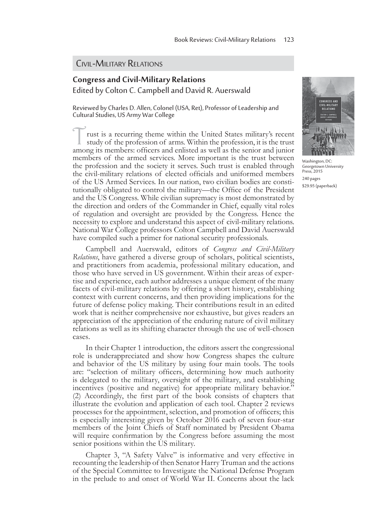## CIVIL-MILITARY RELATIONS

## **Congress and Civil-Military Relations**  Edited by Colton C. Campbell and David R. Auerswald

Reviewed by Charles D. Allen, Colonel (USA, Ret), Professor of Leadership and Cultural Studies, US Army War College

rust is a recurring theme within the United States military's recent study of the profession of arms. Within the profession, it is the trust among its members: officers and enlisted as well as the senior and junior members of the armed services. More important is the trust between the profession and the society it serves. Such trust is enabled through the civil-military relations of elected officials and uniformed members of the US Armed Services. In our nation, two civilian bodies are constitutionally obligated to control the military—the Office of the President and the US Congress. While civilian supremacy is most demonstrated by the direction and orders of the Commander in Chief, equally vital roles of regulation and oversight are provided by the Congress. Hence the necessity to explore and understand this aspect of civil-military relations. National War College professors Colton Campbell and David Auerswald have compiled such a primer for national security professionals.

Campbell and Auerswald, editors of *Congress and Civil-Military Relations*, have gathered a diverse group of scholars, political scientists, and practitioners from academia, professional military education, and those who have served in US government. Within their areas of expertise and experience, each author addresses a unique element of the many facets of civil-military relations by offering a short history, establishing context with current concerns, and then providing implications for the future of defense policy making. Their contributions result in an edited work that is neither comprehensive nor exhaustive, but gives readers an appreciation of the appreciation of the enduring nature of civil military relations as well as its shifting character through the use of well-chosen cases.

In their Chapter 1 introduction, the editors assert the congressional role is underappreciated and show how Congress shapes the culture and behavior of the US military by using four main tools. The tools are: "selection of military officers, determining how much authority is delegated to the military, oversight of the military, and establishing incentives (positive and negative) for appropriate military behavior."  $(2)$  Accordingly, the first part of the book consists of chapters that illustrate the evolution and application of each tool. Chapter 2 reviews processes for the appointment, selection, and promotion of officers; this is especially interesting given by October 2016 each of seven four-star members of the Joint Chiefs of Staff nominated by President Obama will require confirmation by the Congress before assuming the most senior positions within the US military.

Chapter 3, "A Safety Valve" is informative and very effective in recounting the leadership of then Senator Harry Truman and the actions of the Special Committee to Investigate the National Defense Program in the prelude to and onset of World War II. Concerns about the lack



Washington, DC: Georgetown University Press, 2015 240 pages \$29.95 (paperback)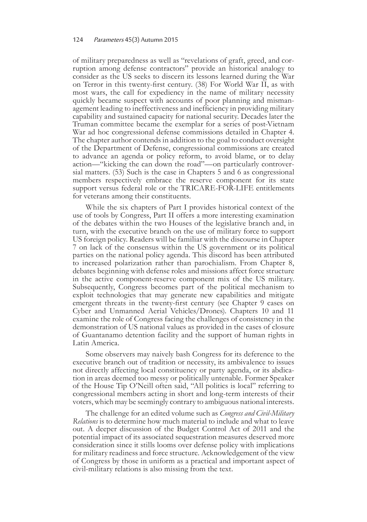## 124 Parameters 45(3) Autumn 2015

of military preparedness as well as "revelations of graft, greed, and corruption among defense contractors" provide an historical analogy to consider as the US seeks to discern its lessons learned during the War on Terror in this twenty-first century. (38) For World War II, as with most wars, the call for expediency in the name of military necessity quickly became suspect with accounts of poor planning and mismanagement leading to ineffectiveness and inefficiency in providing military capability and sustained capacity for national security. Decades later the Truman committee became the exemplar for a series of post-Vietnam War ad hoc congressional defense commissions detailed in Chapter 4. The chapter author contends in addition to the goal to conduct oversight of the Department of Defense, congressional commissions are created to advance an agenda or policy reform, to avoid blame, or to delay action—"kicking the can down the road"—on particularly controversial matters. (53) Such is the case in Chapters 5 and 6 as congressional members respectively embrace the reserve component for its state support versus federal role or the TRICARE-FOR-LIFE entitlements for veterans among their constituents.

While the six chapters of Part I provides historical context of the use of tools by Congress, Part II offers a more interesting examination of the debates within the two Houses of the legislative branch and, in turn, with the executive branch on the use of military force to support US foreign policy. Readers will be familiar with the discourse in Chapter 7 on lack of the consensus within the US government or its political parties on the national policy agenda. This discord has been attributed to increased polarization rather than parochialism. From Chapter 8, debates beginning with defense roles and missions affect force structure in the active component-reserve component mix of the US military. Subsequently, Congress becomes part of the political mechanism to exploit technologies that may generate new capabilities and mitigate emergent threats in the twenty-first century (see Chapter 9 cases on Cyber and Unmanned Aerial Vehicles/Drones). Chapters 10 and 11 examine the role of Congress facing the challenges of consistency in the demonstration of US national values as provided in the cases of closure of Guantanamo detention facility and the support of human rights in Latin America.

Some observers may naively bash Congress for its deference to the executive branch out of tradition or necessity, its ambivalence to issues not directly affecting local constituency or party agenda, or its abdication in areas deemed too messy or politically untenable. Former Speaker of the House Tip O'Neill often said, "All politics is local" referring to congressional members acting in short and long-term interests of their voters, which may be seemingly contrary to ambiguous national interests.

The challenge for an edited volume such as *Congress and Civil-Military Relations* is to determine how much material to include and what to leave out. A deeper discussion of the Budget Control Act of 2011 and the potential impact of its associated sequestration measures deserved more consideration since it stills looms over defense policy with implications for military readiness and force structure. Acknowledgement of the view of Congress by those in uniform as a practical and important aspect of civil-military relations is also missing from the text.